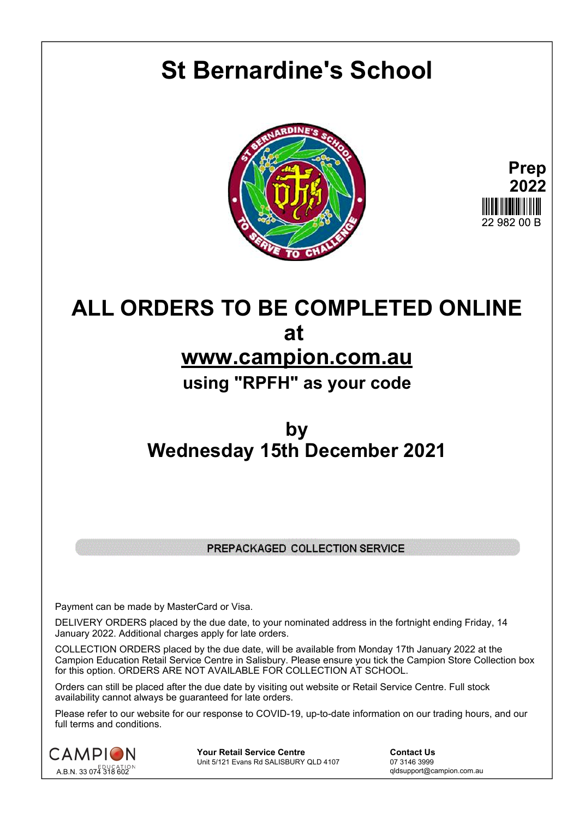# **St Bernardine's School**





# **ALL ORDERS TO BE COMPLETED ONLINE at www.campion.com.au using "RPFH" as your code**

## **by Wednesday 15th December 2021**

### PREPACKAGED COLLECTION SERVICE

Payment can be made by MasterCard or Visa.

DELIVERY ORDERS placed by the due date, to your nominated address in the fortnight ending Friday, 14 January 2022. Additional charges apply for late orders.

COLLECTION ORDERS placed by the due date, will be available from Monday 17th January 2022 at the Campion Education Retail Service Centre in Salisbury. Please ensure you tick the Campion Store Collection box for this option. ORDERS ARE NOT AVAILABLE FOR COLLECTION AT SCHOOL.

Orders can still be placed after the due date by visiting out website or Retail Service Centre. Full stock availability cannot always be guaranteed for late orders.

Please refer to our website for our response to COVID-19, up-to-date information on our trading hours, and our full terms and conditions.



**Your Retail Service Centre Contact Us**<br>
Unit 5/121 Evans Rd SALISBURY QLD 4107

07 3146 3999 Unit 5/121 Evans Rd SALISBURY QLD 4107

qldsupport@campion.com.au